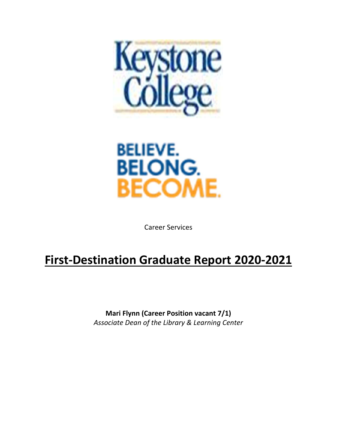



Career Services

# **First‐Destination Graduate Report 2020‐2021**

**Mari Flynn (Career Position vacant 7/1)**  *Associate Dean of the Library & Learning Center*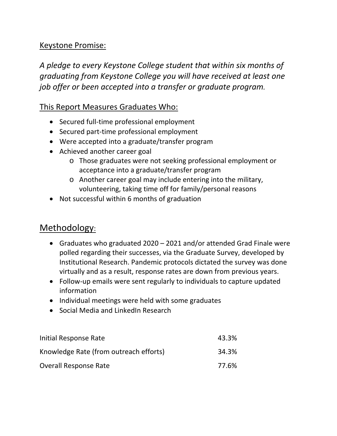#### Keystone Promise:

*A pledge to every Keystone College student that within six months of graduating from Keystone College you will have received at least one job offer or been accepted into a transfer or graduate program.* 

#### This Report Measures Graduates Who:

- Secured full-time professional employment
- Secured part-time professional employment
- Were accepted into a graduate/transfer program
- Achieved another career goal
	- o Those graduates were not seeking professional employment or acceptance into a graduate/transfer program
	- o Another career goal may include entering into the military, volunteering, taking time off for family/personal reasons
- Not successful within 6 months of graduation

## Methodology:

- Graduates who graduated 2020 2021 and/or attended Grad Finale were polled regarding their successes, via the Graduate Survey, developed by Institutional Research. Pandemic protocols dictated the survey was done virtually and as a result, response rates are down from previous years.
- Follow‐up emails were sent regularly to individuals to capture updated information
- Individual meetings were held with some graduates
- Social Media and LinkedIn Research

| Initial Response Rate                  | 43.3% |
|----------------------------------------|-------|
| Knowledge Rate (from outreach efforts) | 34.3% |
| <b>Overall Response Rate</b>           | 77.6% |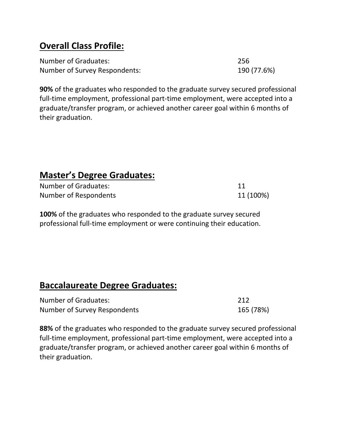# **Overall Class Profile:**

| Number of Graduates:          | 256         |
|-------------------------------|-------------|
| Number of Survey Respondents: | 190 (77.6%) |

**90%** of the graduates who responded to the graduate survey secured professional full-time employment, professional part-time employment, were accepted into a graduate/transfer program, or achieved another career goal within 6 months of their graduation.

# **Master's Degree Graduates:**

| Number of Graduates:  |           |
|-----------------------|-----------|
| Number of Respondents | 11 (100%) |

**100%** of the graduates who responded to the graduate survey secured professional full-time employment or were continuing their education.

## **Baccalaureate Degree Graduates:**

| Number of Graduates:         | -212      |
|------------------------------|-----------|
| Number of Survey Respondents | 165 (78%) |

**88%** of the graduates who responded to the graduate survey secured professional full-time employment, professional part-time employment, were accepted into a graduate/transfer program, or achieved another career goal within 6 months of their graduation.